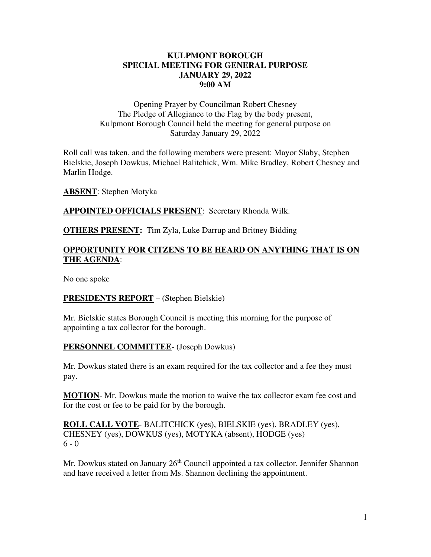#### **KULPMONT BOROUGH SPECIAL MEETING FOR GENERAL PURPOSE JANUARY 29, 2022 9:00 AM**

Opening Prayer by Councilman Robert Chesney The Pledge of Allegiance to the Flag by the body present, Kulpmont Borough Council held the meeting for general purpose on Saturday January 29, 2022

Roll call was taken, and the following members were present: Mayor Slaby, Stephen Bielskie, Joseph Dowkus, Michael Balitchick, Wm. Mike Bradley, Robert Chesney and Marlin Hodge.

**ABSENT**: Stephen Motyka

**APPOINTED OFFICIALS PRESENT**: Secretary Rhonda Wilk.

**OTHERS PRESENT:** Tim Zyla, Luke Darrup and Britney Bidding

## **OPPORTUNITY FOR CITZENS TO BE HEARD ON ANYTHING THAT IS ON THE AGENDA**:

No one spoke

## **PRESIDENTS REPORT** – (Stephen Bielskie)

Mr. Bielskie states Borough Council is meeting this morning for the purpose of appointing a tax collector for the borough.

## **PERSONNEL COMMITTEE**- (Joseph Dowkus)

Mr. Dowkus stated there is an exam required for the tax collector and a fee they must pay.

**MOTION**- Mr. Dowkus made the motion to waive the tax collector exam fee cost and for the cost or fee to be paid for by the borough.

**ROLL CALL VOTE**- BALITCHICK (yes), BIELSKIE (yes), BRADLEY (yes), CHESNEY (yes), DOWKUS (yes), MOTYKA (absent), HODGE (yes)  $6 - 0$ 

Mr. Dowkus stated on January 26<sup>th</sup> Council appointed a tax collector, Jennifer Shannon and have received a letter from Ms. Shannon declining the appointment.